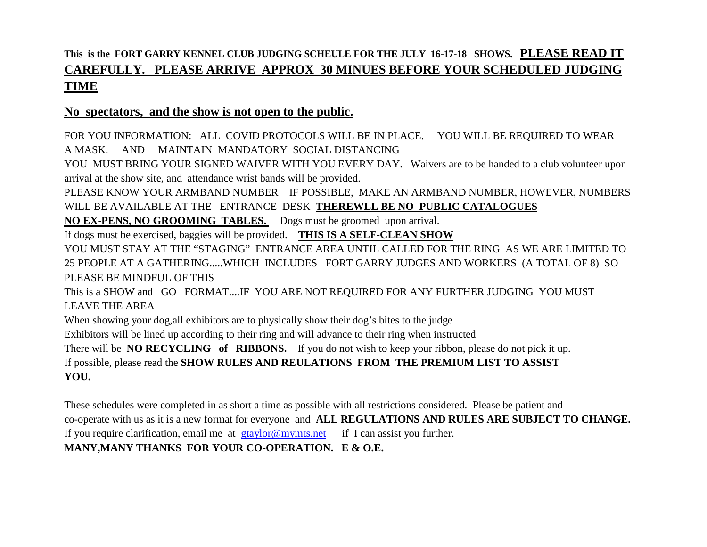## **This is the FORT GARRY KENNEL CLUB JUDGING SCHEULE FOR THE JULY 16-17-18 SHOWS. PLEASE READ IT CAREFULLY. PLEASE ARRIVE APPROX 30 MINUES BEFORE YOUR SCHEDULED JUDGING TIME**

## **No spectators, and the show is not open to the public.**

FOR YOU INFORMATION: ALL COVID PROTOCOLS WILL BE IN PLACE. YOU WILL BE REQUIRED TO WEAR A MASK. AND MAINTAIN MANDATORY SOCIAL DISTANCING

YOU MUST BRING YOUR SIGNED WAIVER WITH YOU EVERY DAY. Waivers are to be handed to a club volunteer upon arrival at the show site, and attendance wrist bands will be provided.

PLEASE KNOW YOUR ARMBAND NUMBER IF POSSIBLE, MAKE AN ARMBAND NUMBER, HOWEVER, NUMBERS WILL BE AVAILABLE AT THE ENTRANCE DESK **THEREWLL BE NO PUBLIC CATALOGUES** 

**NO EX-PENS, NO GROOMING TABLES.** Dogs must be groomed upon arrival.

If dogs must be exercised, baggies will be provided. **THIS IS A SELF-CLEAN SHOW**

YOU MUST STAY AT THE "STAGING" ENTRANCE AREA UNTIL CALLED FOR THE RING AS WE ARE LIMITED TO 25 PEOPLE AT A GATHERING.....WHICH INCLUDES FORT GARRY JUDGES AND WORKERS (A TOTAL OF 8) SO PLEASE BE MINDFUL OF THIS

This is a SHOW and GO FORMAT....IF YOU ARE NOT REQUIRED FOR ANY FURTHER JUDGING YOU MUST LEAVE THE AREA

When showing your dog, all exhibitors are to physically show their dog's bites to the judge

Exhibitors will be lined up according to their ring and will advance to their ring when instructed

There will be **NO RECYCLING of RIBBONS.** If you do not wish to keep your ribbon, please do not pick it up. If possible, please read the **SHOW RULES AND REULATIONS FROM THE PREMIUM LIST TO ASSIST YOU.**

These schedules were completed in as short a time as possible with all restrictions considered. Please be patient and co-operate with us as it is a new format for everyone and **ALL REGULATIONS AND RULES ARE SUBJECT TO CHANGE.** If you require clarification, email me at  $\frac{g \cdot f}{g \cdot g}$  requires.net if I can assist you further. **MANY,MANY THANKS FOR YOUR CO-OPERATION. E & O.E.**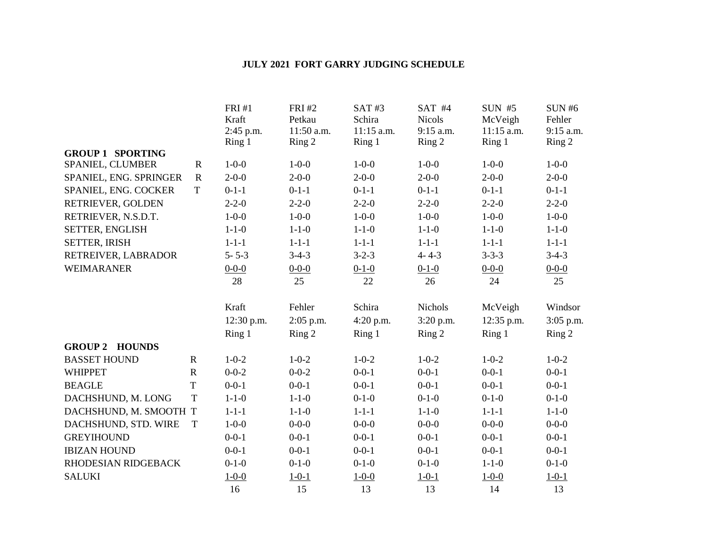## **JULY 2021 FORT GARRY JUDGING SCHEDULE**

|                                 |             | <b>FRI#1</b><br>Kraft<br>2:45 p.m.<br>Ring 1 | <b>FRI#2</b><br>Petkau<br>11:50 a.m.<br>Ring 2 | SAT#3<br>Schira<br>$11:15$ a.m.<br>Ring 1 | $SAT$ #4<br><b>Nicols</b><br>9:15 a.m.<br>Ring 2 | <b>SUN #5</b><br>McVeigh<br>$11:15$ a.m.<br>Ring 1 | <b>SUN#6</b><br>Fehler<br>$9:15$ a.m.<br>Ring 2 |
|---------------------------------|-------------|----------------------------------------------|------------------------------------------------|-------------------------------------------|--------------------------------------------------|----------------------------------------------------|-------------------------------------------------|
| <b>GROUP 1 SPORTING</b>         |             |                                              |                                                |                                           |                                                  |                                                    |                                                 |
| SPANIEL, CLUMBER                | $\mathbf R$ | $1 - 0 - 0$                                  | $1 - 0 - 0$                                    | $1 - 0 - 0$                               | $1 - 0 - 0$                                      | $1 - 0 - 0$                                        | $1 - 0 - 0$                                     |
| SPANIEL, ENG. SPRINGER          | $\mathbf R$ | $2 - 0 - 0$                                  | $2 - 0 - 0$                                    | $2 - 0 - 0$                               | $2 - 0 - 0$                                      | $2 - 0 - 0$                                        | $2 - 0 - 0$                                     |
| SPANIEL, ENG. COCKER            | T           | $0-1-1$                                      | $0-1-1$                                        | $0-1-1$                                   | $0-1-1$                                          | $0-1-1$                                            | $0-1-1$                                         |
| RETRIEVER, GOLDEN               |             | $2 - 2 - 0$                                  | $2 - 2 - 0$                                    | $2 - 2 - 0$                               | $2 - 2 - 0$                                      | $2 - 2 - 0$                                        | $2 - 2 - 0$                                     |
| RETRIEVER, N.S.D.T.             |             | $1 - 0 - 0$                                  | $1 - 0 - 0$                                    | $1 - 0 - 0$                               | $1 - 0 - 0$                                      | $1 - 0 - 0$                                        | $1 - 0 - 0$                                     |
| SETTER, ENGLISH                 |             | $1 - 1 - 0$                                  | $1 - 1 - 0$                                    | $1 - 1 - 0$                               | $1 - 1 - 0$                                      | $1 - 1 - 0$                                        | $1 - 1 - 0$                                     |
| <b>SETTER, IRISH</b>            |             | $1 - 1 - 1$                                  | $1 - 1 - 1$                                    | $1 - 1 - 1$                               | $1 - 1 - 1$                                      | $1 - 1 - 1$                                        | $1 - 1 - 1$                                     |
| RETREIVER, LABRADOR             |             | $5 - 5 - 3$                                  | $3-4-3$                                        | $3 - 2 - 3$                               | $4 - 4 - 3$                                      | $3 - 3 - 3$                                        | $3-4-3$                                         |
| <b>WEIMARANER</b>               |             | $0 - 0 - 0$                                  | $0 - 0 - 0$                                    | $0 - 1 - 0$                               | $0-1-0$                                          | $0 - 0 - 0$                                        | $0 - 0 - 0$                                     |
|                                 |             | 28                                           | 25                                             | 22                                        | 26                                               | 24                                                 | 25                                              |
|                                 |             | Kraft                                        | Fehler                                         | Schira                                    | Nichols                                          | McVeigh                                            | Windsor                                         |
|                                 |             | 12:30 p.m.                                   | 2:05 p.m.                                      | 4:20 p.m.                                 | 3:20 p.m.                                        | 12:35 p.m.                                         | 3:05 p.m.                                       |
|                                 |             | Ring 1                                       | Ring 2                                         | Ring 1                                    | Ring 2                                           | Ring 1                                             | Ring 2                                          |
| <b>GROUP 2</b><br><b>HOUNDS</b> |             |                                              |                                                |                                           |                                                  |                                                    |                                                 |
| <b>BASSET HOUND</b>             | ${\bf R}$   | $1 - 0 - 2$                                  | $1 - 0 - 2$                                    | $1 - 0 - 2$                               | $1 - 0 - 2$                                      | $1 - 0 - 2$                                        | $1 - 0 - 2$                                     |
| <b>WHIPPET</b>                  | $\mathbf R$ | $0 - 0 - 2$                                  | $0 - 0 - 2$                                    | $0 - 0 - 1$                               | $0 - 0 - 1$                                      | $0 - 0 - 1$                                        | $0 - 0 - 1$                                     |
| <b>BEAGLE</b>                   | $\mathbf T$ | $0 - 0 - 1$                                  | $0 - 0 - 1$                                    | $0 - 0 - 1$                               | $0 - 0 - 1$                                      | $0 - 0 - 1$                                        | $0 - 0 - 1$                                     |
| DACHSHUND, M. LONG              | $\mathbf T$ | $1 - 1 - 0$                                  | $1 - 1 - 0$                                    | $0-1-0$                                   | $0-1-0$                                          | $0-1-0$                                            | $0 - 1 - 0$                                     |
| DACHSHUND, M. SMOOTH T          |             | $1 - 1 - 1$                                  | $1 - 1 - 0$                                    | $1 - 1 - 1$                               | $1 - 1 - 0$                                      | $1 - 1 - 1$                                        | $1 - 1 - 0$                                     |
| DACHSHUND, STD. WIRE            | T           | $1 - 0 - 0$                                  | $0 - 0 - 0$                                    | $0 - 0 - 0$                               | $0 - 0 - 0$                                      | $0 - 0 - 0$                                        | $0 - 0 - 0$                                     |
| <b>GREYIHOUND</b>               |             | $0 - 0 - 1$                                  | $0 - 0 - 1$                                    | $0 - 0 - 1$                               | $0 - 0 - 1$                                      | $0 - 0 - 1$                                        | $0 - 0 - 1$                                     |
| <b>IBIZAN HOUND</b>             |             | $0 - 0 - 1$                                  | $0 - 0 - 1$                                    | $0 - 0 - 1$                               | $0 - 0 - 1$                                      | $0 - 0 - 1$                                        | $0 - 0 - 1$                                     |
| RHODESIAN RIDGEBACK             |             | $0-1-0$                                      | $0-1-0$                                        | $0-1-0$                                   | $0-1-0$                                          | $1 - 1 - 0$                                        | $0-1-0$                                         |
| <b>SALUKI</b>                   |             | $1 - 0 - 0$                                  | $1 - 0 - 1$                                    | $1 - 0 - 0$                               | $1 - 0 - 1$                                      | $1 - 0 - 0$                                        | $1 - 0 - 1$                                     |
|                                 |             | 16                                           | 15                                             | 13                                        | 13                                               | 14                                                 | 13                                              |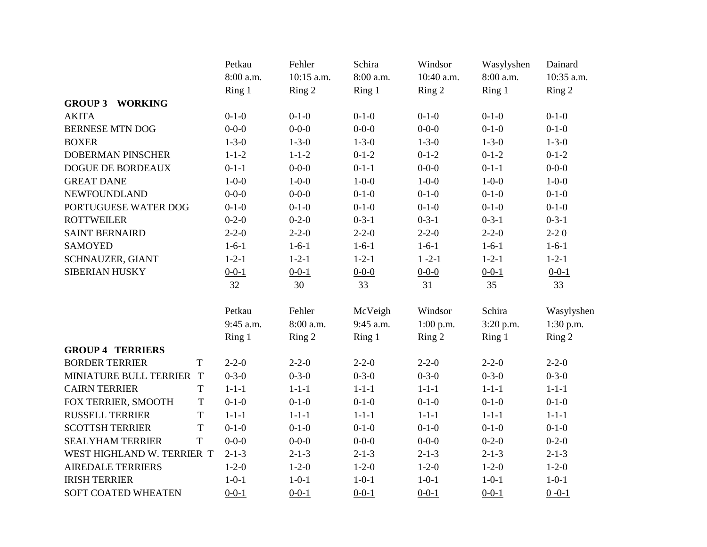|                            |             | Petkau      | Fehler      | Schira      | Windsor     | Wasylyshen  | Dainard     |
|----------------------------|-------------|-------------|-------------|-------------|-------------|-------------|-------------|
|                            |             | 8:00 a.m.   | 10:15 a.m.  | 8:00 a.m.   | 10:40 a.m.  | 8:00 a.m.   | 10:35 a.m.  |
|                            |             | Ring 1      | Ring 2      | Ring 1      | Ring 2      | Ring 1      | Ring 2      |
| <b>GROUP 3 WORKING</b>     |             |             |             |             |             |             |             |
| <b>AKITA</b>               |             | $0-1-0$     | $0 - 1 - 0$ | $0-1-0$     | $0-1-0$     | $0-1-0$     | $0-1-0$     |
| <b>BERNESE MTN DOG</b>     |             | $0 - 0 - 0$ | $0 - 0 - 0$ | $0 - 0 - 0$ | $0 - 0 - 0$ | $0-1-0$     | $0-1-0$     |
| <b>BOXER</b>               |             | $1 - 3 - 0$ | $1 - 3 - 0$ | $1 - 3 - 0$ | $1 - 3 - 0$ | $1 - 3 - 0$ | $1 - 3 - 0$ |
| <b>DOBERMAN PINSCHER</b>   |             | $1 - 1 - 2$ | $1 - 1 - 2$ | $0-1-2$     | $0 - 1 - 2$ | $0 - 1 - 2$ | $0-1-2$     |
| DOGUE DE BORDEAUX          |             | $0-1-1$     | $0 - 0 - 0$ | $0-1-1$     | $0 - 0 - 0$ | $0-1-1$     | $0 - 0 - 0$ |
| <b>GREAT DANE</b>          |             | $1 - 0 - 0$ | $1 - 0 - 0$ | $1 - 0 - 0$ | $1 - 0 - 0$ | $1 - 0 - 0$ | $1 - 0 - 0$ |
| <b>NEWFOUNDLAND</b>        |             | $0 - 0 - 0$ | $0 - 0 - 0$ | $0 - 1 - 0$ | $0-1-0$     | $0-1-0$     | $0-1-0$     |
| PORTUGUESE WATER DOG       |             | $0-1-0$     | $0 - 1 - 0$ | $0-1-0$     | $0-1-0$     | $0-1-0$     | $0-1-0$     |
| <b>ROTTWEILER</b>          |             | $0 - 2 - 0$ | $0 - 2 - 0$ | $0 - 3 - 1$ | $0 - 3 - 1$ | $0 - 3 - 1$ | $0 - 3 - 1$ |
| <b>SAINT BERNAIRD</b>      |             | $2 - 2 - 0$ | $2 - 2 - 0$ | $2 - 2 - 0$ | $2 - 2 - 0$ | $2 - 2 - 0$ | $2-20$      |
| <b>SAMOYED</b>             |             | $1-6-1$     | $1-6-1$     | $1-6-1$     | $1-6-1$     | $1-6-1$     | $1-6-1$     |
| SCHNAUZER, GIANT           |             | $1 - 2 - 1$ | $1 - 2 - 1$ | $1 - 2 - 1$ | $1 - 2 - 1$ | $1 - 2 - 1$ | $1 - 2 - 1$ |
| <b>SIBERIAN HUSKY</b>      |             | $0 - 0 - 1$ | $0 - 0 - 1$ | $0 - 0 - 0$ | $0 - 0 - 0$ | $0 - 0 - 1$ | $0 - 0 - 1$ |
|                            |             | 32          | 30          | 33          | 31          | 35          | 33          |
|                            |             | Petkau      | Fehler      | McVeigh     | Windsor     | Schira      | Wasylyshen  |
|                            |             | 9:45 a.m.   | 8:00 a.m.   | 9:45 a.m.   | $1:00$ p.m. | 3:20 p.m.   | 1:30 p.m.   |
|                            |             | Ring 1      | Ring 2      | Ring 1      | Ring 2      | Ring 1      | Ring 2      |
| <b>GROUP 4 TERRIERS</b>    |             |             |             |             |             |             |             |
| <b>BORDER TERRIER</b>      | T           | $2 - 2 - 0$ | $2 - 2 - 0$ | $2 - 2 - 0$ | $2 - 2 - 0$ | $2 - 2 - 0$ | $2 - 2 - 0$ |
| MINIATURE BULL TERRIER     | $\mathbf T$ | $0 - 3 - 0$ | $0 - 3 - 0$ | $0 - 3 - 0$ | $0 - 3 - 0$ | $0 - 3 - 0$ | $0 - 3 - 0$ |
| <b>CAIRN TERRIER</b>       | $\mathbf T$ | $1 - 1 - 1$ | $1 - 1 - 1$ | $1 - 1 - 1$ | $1 - 1 - 1$ | $1 - 1 - 1$ | $1 - 1 - 1$ |
| FOX TERRIER, SMOOTH        | $\mathbf T$ | $0-1-0$     | $0 - 1 - 0$ | $0-1-0$     | $0-1-0$     | $0-1-0$     | $0-1-0$     |
| <b>RUSSELL TERRIER</b>     | T           | $1 - 1 - 1$ | $1 - 1 - 1$ | $1 - 1 - 1$ | $1 - 1 - 1$ | $1 - 1 - 1$ | $1 - 1 - 1$ |
| <b>SCOTTSH TERRIER</b>     | T           | $0-1-0$     | $0 - 1 - 0$ | $0-1-0$     | $0-1-0$     | $0-1-0$     | $0-1-0$     |
| <b>SEALYHAM TERRIER</b>    | T           | $0 - 0 - 0$ | $0 - 0 - 0$ | $0 - 0 - 0$ | $0 - 0 - 0$ | $0-2-0$     | $0 - 2 - 0$ |
| WEST HIGHLAND W. TERRIER T |             | $2 - 1 - 3$ | $2 - 1 - 3$ | $2 - 1 - 3$ | $2 - 1 - 3$ | $2 - 1 - 3$ | $2 - 1 - 3$ |
| <b>AIREDALE TERRIERS</b>   |             | $1-2-0$     | $1 - 2 - 0$ | $1-2-0$     | $1-2-0$     | $1 - 2 - 0$ | $1-2-0$     |
| <b>IRISH TERRIER</b>       |             | $1 - 0 - 1$ | $1 - 0 - 1$ | $1 - 0 - 1$ | $1 - 0 - 1$ | $1 - 0 - 1$ | $1 - 0 - 1$ |
| <b>SOFT COATED WHEATEN</b> |             | $0 - 0 - 1$ | $0 - 0 - 1$ | $0 - 0 - 1$ | $0 - 0 - 1$ | $0 - 0 - 1$ | $0 - 0 - 1$ |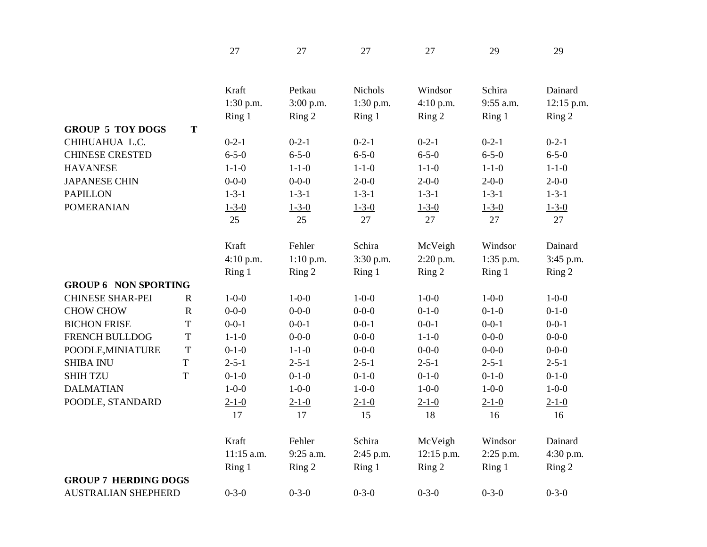|                             |                         | 27           | 27          | 27          | 27          | 29          | 29          |
|-----------------------------|-------------------------|--------------|-------------|-------------|-------------|-------------|-------------|
|                             |                         | Kraft        | Petkau      | Nichols     | Windsor     | Schira      | Dainard     |
|                             |                         | $1:30$ p.m.  | 3:00 p.m.   | $1:30$ p.m. | 4:10 p.m.   | 9:55 a.m.   | 12:15 p.m.  |
|                             |                         | Ring 1       | Ring 2      | Ring 1      | Ring 2      | Ring 1      | Ring 2      |
| <b>GROUP 5 TOY DOGS</b>     | T                       |              |             |             |             |             |             |
| CHIHUAHUA L.C.              |                         | $0 - 2 - 1$  | $0 - 2 - 1$ | $0 - 2 - 1$ | $0 - 2 - 1$ | $0 - 2 - 1$ | $0 - 2 - 1$ |
| <b>CHINESE CRESTED</b>      |                         | $6 - 5 - 0$  | $6 - 5 - 0$ | $6 - 5 - 0$ | $6 - 5 - 0$ | $6 - 5 - 0$ | $6 - 5 - 0$ |
| <b>HAVANESE</b>             |                         | $1 - 1 - 0$  | $1 - 1 - 0$ | $1 - 1 - 0$ | $1 - 1 - 0$ | $1 - 1 - 0$ | $1 - 1 - 0$ |
| <b>JAPANESE CHIN</b>        |                         | $0 - 0 - 0$  | $0 - 0 - 0$ | $2 - 0 - 0$ | $2 - 0 - 0$ | $2 - 0 - 0$ | $2 - 0 - 0$ |
| <b>PAPILLON</b>             |                         | $1 - 3 - 1$  | $1 - 3 - 1$ | $1 - 3 - 1$ | $1 - 3 - 1$ | $1 - 3 - 1$ | $1 - 3 - 1$ |
| <b>POMERANIAN</b>           |                         | $1 - 3 - 0$  | $1 - 3 - 0$ | $1 - 3 - 0$ | $1 - 3 - 0$ | $1 - 3 - 0$ | $1 - 3 - 0$ |
|                             |                         | 25           | 25          | 27          | 27          | 27          | 27          |
|                             |                         | Kraft        | Fehler      | Schira      | McVeigh     | Windsor     | Dainard     |
|                             |                         | 4:10 p.m.    | 1:10 p.m.   | 3:30 p.m.   | 2:20 p.m.   | 1:35 p.m.   | 3:45 p.m.   |
|                             |                         | Ring 1       | Ring 2      | Ring 1      | Ring 2      | Ring 1      | Ring 2      |
| <b>GROUP 6 NON SPORTING</b> |                         |              |             |             |             |             |             |
| <b>CHINESE SHAR-PEI</b>     | $\mathbf R$             | $1 - 0 - 0$  | $1 - 0 - 0$ | $1 - 0 - 0$ | $1 - 0 - 0$ | $1 - 0 - 0$ | $1 - 0 - 0$ |
| <b>CHOW CHOW</b>            | ${\bf R}$               | $0 - 0 - 0$  | $0 - 0 - 0$ | $0 - 0 - 0$ | $0-1-0$     | $0-1-0$     | $0-1-0$     |
| <b>BICHON FRISE</b>         | $\mathbf T$             | $0 - 0 - 1$  | $0 - 0 - 1$ | $0 - 0 - 1$ | $0 - 0 - 1$ | $0 - 0 - 1$ | $0 - 0 - 1$ |
| FRENCH BULLDOG              | $\mathbf T$             | $1 - 1 - 0$  | $0 - 0 - 0$ | $0 - 0 - 0$ | $1 - 1 - 0$ | $0 - 0 - 0$ | $0 - 0 - 0$ |
| POODLE, MINIATURE           | $\mathbf T$             | $0-1-0$      | $1 - 1 - 0$ | $0 - 0 - 0$ | $0 - 0 - 0$ | $0 - 0 - 0$ | $0 - 0 - 0$ |
| <b>SHIBA INU</b>            | $\overline{\mathrm{T}}$ | $2 - 5 - 1$  | $2 - 5 - 1$ | $2 - 5 - 1$ | $2 - 5 - 1$ | $2 - 5 - 1$ | $2 - 5 - 1$ |
| <b>SHIH TZU</b>             | T                       | $0-1-0$      | $0-1-0$     | $0-1-0$     | $0-1-0$     | $0-1-0$     | $0-1-0$     |
| <b>DALMATIAN</b>            |                         | $1 - 0 - 0$  | $1 - 0 - 0$ | $1 - 0 - 0$ | $1 - 0 - 0$ | $1 - 0 - 0$ | $1 - 0 - 0$ |
| POODLE, STANDARD            |                         | $2 - 1 - 0$  | $2 - 1 - 0$ | $2 - 1 - 0$ | $2 - 1 - 0$ | $2 - 1 - 0$ | $2 - 1 - 0$ |
|                             |                         | 17           | 17          | 15          | 18          | 16          | 16          |
|                             |                         | Kraft        | Fehler      | Schira      | McVeigh     | Windsor     | Dainard     |
|                             |                         | $11:15$ a.m. | 9:25 a.m.   | 2:45 p.m.   | 12:15 p.m.  | 2:25 p.m.   | 4:30 p.m.   |
|                             |                         | Ring 1       | Ring 2      | Ring 1      | Ring 2      | Ring 1      | Ring 2      |
| <b>GROUP 7 HERDING DOGS</b> |                         |              |             |             |             |             |             |
| <b>AUSTRALIAN SHEPHERD</b>  |                         | $0 - 3 - 0$  | $0 - 3 - 0$ | $0 - 3 - 0$ | $0 - 3 - 0$ | $0 - 3 - 0$ | $0 - 3 - 0$ |